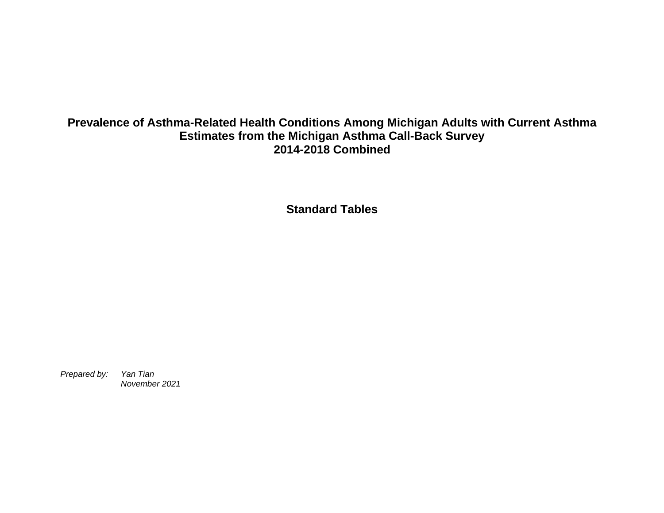## **Prevalence of Asthma-Related Health Conditions Among Michigan Adults with Current Asthma Estimates from the Michigan Asthma Call-Back Survey 2014-2018 Combined**

**Standard Tables**

*Prepared by: Yan Tian November 2021*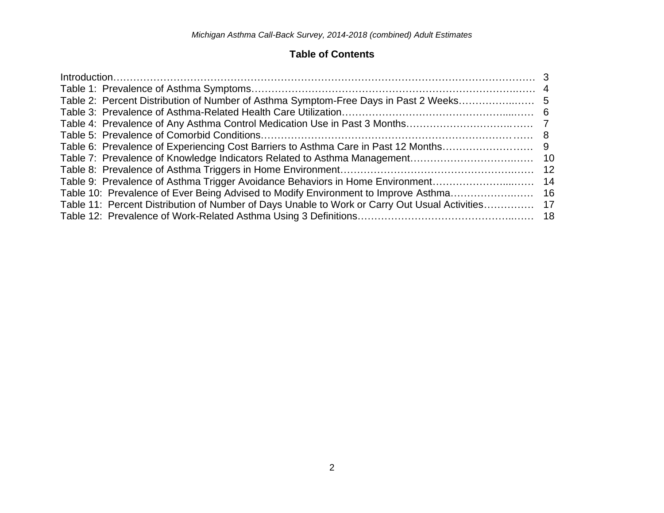## **Table of Contents**

|                                                                                                  | -12 |
|--------------------------------------------------------------------------------------------------|-----|
| Table 9: Prevalence of Asthma Trigger Avoidance Behaviors in Home Environment                    | -14 |
|                                                                                                  |     |
| Table 11: Percent Distribution of Number of Days Unable to Work or Carry Out Usual Activities 17 |     |
|                                                                                                  |     |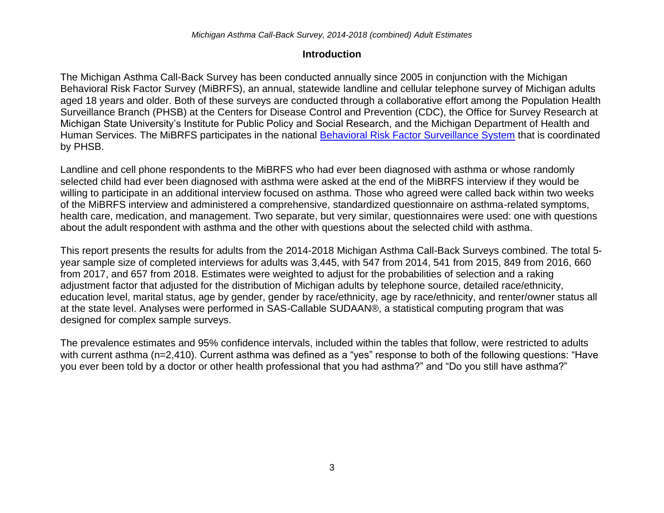## **Introduction**

The Michigan Asthma Call-Back Survey has been conducted annually since 2005 in conjunction with the Michigan Behavioral Risk Factor Survey (MiBRFS), an annual, statewide landline and cellular telephone survey of Michigan adults aged 18 years and older. Both of these surveys are conducted through a collaborative effort among the Population Health Surveillance Branch (PHSB) at the Centers for Disease Control and Prevention (CDC), the Office for Survey Research at Michigan State University's Institute for Public Policy and Social Research, and the Michigan Department of Health and Human Services. The MiBRFS participates in the national [Behavioral Risk Factor Surveillance System](http://www.cdc.gov/brfss/) that is coordinated by PHSB.

Landline and cell phone respondents to the MiBRFS who had ever been diagnosed with asthma or whose randomly selected child had ever been diagnosed with asthma were asked at the end of the MiBRFS interview if they would be willing to participate in an additional interview focused on asthma. Those who agreed were called back within two weeks of the MiBRFS interview and administered a comprehensive, standardized questionnaire on asthma-related symptoms, health care, medication, and management. Two separate, but very similar, questionnaires were used: one with questions about the adult respondent with asthma and the other with questions about the selected child with asthma.

This report presents the results for adults from the 2014-2018 Michigan Asthma Call-Back Surveys combined. The total 5 year sample size of completed interviews for adults was 3,445, with 547 from 2014, 541 from 2015, 849 from 2016, 660 from 2017, and 657 from 2018. Estimates were weighted to adjust for the probabilities of selection and a raking adjustment factor that adjusted for the distribution of Michigan adults by telephone source, detailed race/ethnicity, education level, marital status, age by gender, gender by race/ethnicity, age by race/ethnicity, and renter/owner status all at the state level. Analyses were performed in SAS-Callable SUDAAN®, a statistical computing program that was designed for complex sample surveys.

The prevalence estimates and 95% confidence intervals, included within the tables that follow, were restricted to adults with current asthma (n=2,410). Current asthma was defined as a "yes" response to both of the following questions: "Have you ever been told by a doctor or other health professional that you had asthma?" and "Do you still have asthma?"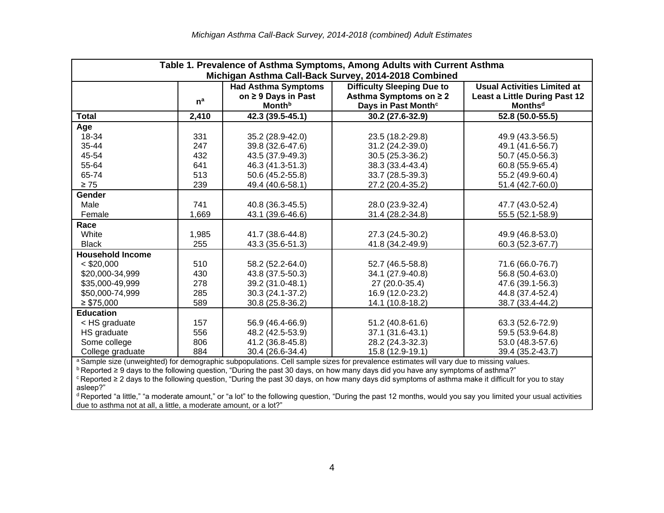| Table 1. Prevalence of Asthma Symptoms, Among Adults with Current Asthma<br>Michigan Asthma Call-Back Survey, 2014-2018 Combined                  |                                                                                                       |                           |                                                                                                                                                               |                                      |  |  |  |
|---------------------------------------------------------------------------------------------------------------------------------------------------|-------------------------------------------------------------------------------------------------------|---------------------------|---------------------------------------------------------------------------------------------------------------------------------------------------------------|--------------------------------------|--|--|--|
|                                                                                                                                                   | <b>Difficulty Sleeping Due to</b><br><b>Usual Activities Limited at</b><br><b>Had Asthma Symptoms</b> |                           |                                                                                                                                                               |                                      |  |  |  |
|                                                                                                                                                   |                                                                                                       | on ≥ 9 Days in Past       | Asthma Symptoms on ≥ 2                                                                                                                                        | <b>Least a Little During Past 12</b> |  |  |  |
|                                                                                                                                                   | $n^a$                                                                                                 | <b>Month</b> <sup>b</sup> | Days in Past Month <sup>c</sup>                                                                                                                               | <b>Monthsd</b>                       |  |  |  |
| <b>Total</b>                                                                                                                                      | 2,410                                                                                                 | 42.3 (39.5-45.1)          | 30.2 (27.6-32.9)                                                                                                                                              | 52.8 (50.0-55.5)                     |  |  |  |
| Age                                                                                                                                               |                                                                                                       |                           |                                                                                                                                                               |                                      |  |  |  |
| 18-34                                                                                                                                             | 331                                                                                                   | 35.2 (28.9-42.0)          | 23.5 (18.2-29.8)                                                                                                                                              | 49.9 (43.3-56.5)                     |  |  |  |
| 35-44                                                                                                                                             | 247                                                                                                   | 39.8 (32.6-47.6)          | 31.2 (24.2-39.0)                                                                                                                                              | 49.1 (41.6-56.7)                     |  |  |  |
| 45-54                                                                                                                                             | 432                                                                                                   | 43.5 (37.9-49.3)          | 30.5 (25.3-36.2)                                                                                                                                              | 50.7 (45.0-56.3)                     |  |  |  |
| 55-64                                                                                                                                             | 641                                                                                                   | 46.3 (41.3-51.3)          | 38.3 (33.4-43.4)                                                                                                                                              | 60.8 (55.9-65.4)                     |  |  |  |
| 65-74                                                                                                                                             | 513                                                                                                   | 50.6 (45.2-55.8)          | 33.7 (28.5-39.3)                                                                                                                                              | 55.2 (49.9-60.4)                     |  |  |  |
| $\geq 75$                                                                                                                                         | 239                                                                                                   | 49.4 (40.6-58.1)          | 27.2 (20.4-35.2)                                                                                                                                              | 51.4 (42.7-60.0)                     |  |  |  |
| <b>Gender</b>                                                                                                                                     |                                                                                                       |                           |                                                                                                                                                               |                                      |  |  |  |
| Male                                                                                                                                              | 741                                                                                                   | 40.8 (36.3-45.5)          | 28.0 (23.9-32.4)                                                                                                                                              | 47.7 (43.0-52.4)                     |  |  |  |
| Female                                                                                                                                            | 1,669                                                                                                 | 43.1 (39.6-46.6)          | 31.4 (28.2-34.8)                                                                                                                                              | 55.5 (52.1-58.9)                     |  |  |  |
| Race                                                                                                                                              |                                                                                                       |                           |                                                                                                                                                               |                                      |  |  |  |
| White                                                                                                                                             | 1,985                                                                                                 | 41.7 (38.6-44.8)          | 27.3 (24.5-30.2)                                                                                                                                              | 49.9 (46.8-53.0)                     |  |  |  |
| <b>Black</b>                                                                                                                                      | 255                                                                                                   | 43.3 (35.6-51.3)          | 41.8 (34.2-49.9)                                                                                                                                              | 60.3 (52.3-67.7)                     |  |  |  |
| <b>Household Income</b>                                                                                                                           |                                                                                                       |                           |                                                                                                                                                               |                                      |  |  |  |
| $<$ \$20,000                                                                                                                                      | 510                                                                                                   | 58.2 (52.2-64.0)          | 52.7 (46.5-58.8)                                                                                                                                              | 71.6 (66.0-76.7)                     |  |  |  |
| \$20,000-34,999                                                                                                                                   | 430                                                                                                   | 43.8 (37.5-50.3)          | 34.1 (27.9-40.8)                                                                                                                                              | 56.8 (50.4-63.0)                     |  |  |  |
| \$35,000-49,999                                                                                                                                   | 278                                                                                                   | 39.2 (31.0-48.1)          | 27 (20.0-35.4)                                                                                                                                                | 47.6 (39.1-56.3)                     |  |  |  |
| \$50,000-74,999                                                                                                                                   | 285                                                                                                   | 30.3 (24.1-37.2)          | 16.9 (12.0-23.2)                                                                                                                                              | 44.8 (37.4-52.4)                     |  |  |  |
| $\geq$ \$75,000                                                                                                                                   | 589                                                                                                   | 30.8 (25.8-36.2)          | 14.1 (10.8-18.2)                                                                                                                                              | 38.7 (33.4-44.2)                     |  |  |  |
| <b>Education</b>                                                                                                                                  |                                                                                                       |                           |                                                                                                                                                               |                                      |  |  |  |
| < HS graduate                                                                                                                                     | 157                                                                                                   | 56.9 (46.4-66.9)          | 51.2 (40.8-61.6)                                                                                                                                              | 63.3 (52.6-72.9)                     |  |  |  |
| HS graduate                                                                                                                                       | 556                                                                                                   | 48.2 (42.5-53.9)          | 37.1 (31.6-43.1)                                                                                                                                              | 59.5 (53.9-64.8)                     |  |  |  |
| Some college                                                                                                                                      | 806                                                                                                   | 41.2 (36.8-45.8)          | 28.2 (24.3-32.3)                                                                                                                                              | 53.0 (48.3-57.6)                     |  |  |  |
| College graduate                                                                                                                                  | 884                                                                                                   | 30.4 (26.6-34.4)          | 15.8 (12.9-19.1)                                                                                                                                              | 39.4 (35.2-43.7)                     |  |  |  |
|                                                                                                                                                   |                                                                                                       |                           | a Sample size (unweighted) for demographic subpopulations. Cell sample sizes for prevalence estimates will vary due to missing values.                        |                                      |  |  |  |
|                                                                                                                                                   |                                                                                                       |                           | <sup>b</sup> Reported ≥ 9 days to the following question, "During the past 30 days, on how many days did you have any symptoms of asthma?"                    |                                      |  |  |  |
| cReported ≥ 2 days to the following question, "During the past 30 days, on how many days did symptoms of asthma make it difficult for you to stay |                                                                                                       |                           |                                                                                                                                                               |                                      |  |  |  |
| asleep?"                                                                                                                                          |                                                                                                       |                           | d Reported "a little," "a moderate amount," or "a lot" to the following question, "During the past 12 months, would you say you limited your usual activities |                                      |  |  |  |
| due to asthma not at all, a little, a moderate amount, or a lot?"                                                                                 |                                                                                                       |                           |                                                                                                                                                               |                                      |  |  |  |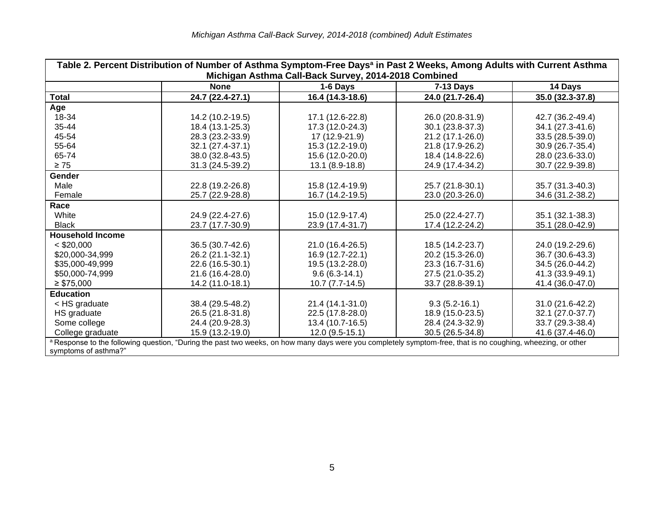| Table 2. Percent Distribution of Number of Asthma Symptom-Free Days <sup>a</sup> in Past 2 Weeks, Among Adults with Current Asthma<br>Michigan Asthma Call-Back Survey, 2014-2018 Combined |                                                                                                                                                              |                     |                  |                  |  |  |  |
|--------------------------------------------------------------------------------------------------------------------------------------------------------------------------------------------|--------------------------------------------------------------------------------------------------------------------------------------------------------------|---------------------|------------------|------------------|--|--|--|
|                                                                                                                                                                                            | <b>None</b><br>14 Days<br>1-6 Days<br><b>7-13 Days</b>                                                                                                       |                     |                  |                  |  |  |  |
| Total                                                                                                                                                                                      | 24.7 (22.4-27.1)                                                                                                                                             | 16.4 (14.3-18.6)    | 24.0 (21.7-26.4) | 35.0 (32.3-37.8) |  |  |  |
| Age                                                                                                                                                                                        |                                                                                                                                                              |                     |                  |                  |  |  |  |
| 18-34                                                                                                                                                                                      | 14.2 (10.2-19.5)                                                                                                                                             | 17.1 (12.6-22.8)    | 26.0 (20.8-31.9) | 42.7 (36.2-49.4) |  |  |  |
| 35-44                                                                                                                                                                                      | 18.4 (13.1-25.3)                                                                                                                                             | 17.3 (12.0-24.3)    | 30.1 (23.8-37.3) | 34.1 (27.3-41.6) |  |  |  |
| 45-54                                                                                                                                                                                      | 28.3 (23.2-33.9)                                                                                                                                             | 17 (12.9-21.9)      | 21.2 (17.1-26.0) | 33.5 (28.5-39.0) |  |  |  |
| 55-64                                                                                                                                                                                      | 32.1 (27.4-37.1)                                                                                                                                             | 15.3 (12.2-19.0)    | 21.8 (17.9-26.2) | 30.9 (26.7-35.4) |  |  |  |
| 65-74                                                                                                                                                                                      | 38.0 (32.8-43.5)                                                                                                                                             | 15.6 (12.0-20.0)    | 18.4 (14.8-22.6) | 28.0 (23.6-33.0) |  |  |  |
| $\geq 75$                                                                                                                                                                                  | 31.3 (24.5-39.2)                                                                                                                                             | 13.1 (8.9-18.8)     | 24.9 (17.4-34.2) | 30.7 (22.9-39.8) |  |  |  |
| <b>Gender</b>                                                                                                                                                                              |                                                                                                                                                              |                     |                  |                  |  |  |  |
| Male                                                                                                                                                                                       | 22.8 (19.2-26.8)                                                                                                                                             | 15.8 (12.4-19.9)    | 25.7 (21.8-30.1) | 35.7 (31.3-40.3) |  |  |  |
| Female                                                                                                                                                                                     | 25.7 (22.9-28.8)                                                                                                                                             | 16.7 (14.2-19.5)    | 23.0 (20.3-26.0) | 34.6 (31.2-38.2) |  |  |  |
| Race                                                                                                                                                                                       |                                                                                                                                                              |                     |                  |                  |  |  |  |
| White                                                                                                                                                                                      | 24.9 (22.4-27.6)                                                                                                                                             | 15.0 (12.9-17.4)    | 25.0 (22.4-27.7) | 35.1 (32.1-38.3) |  |  |  |
| <b>Black</b>                                                                                                                                                                               | 23.7 (17.7-30.9)                                                                                                                                             | 23.9 (17.4-31.7)    | 17.4 (12.2-24.2) | 35.1 (28.0-42.9) |  |  |  |
| <b>Household Income</b>                                                                                                                                                                    |                                                                                                                                                              |                     |                  |                  |  |  |  |
| $<$ \$20,000                                                                                                                                                                               | 36.5 (30.7-42.6)                                                                                                                                             | 21.0 (16.4-26.5)    | 18.5 (14.2-23.7) | 24.0 (19.2-29.6) |  |  |  |
| \$20,000-34,999                                                                                                                                                                            | 26.2 (21.1-32.1)                                                                                                                                             | 16.9 (12.7-22.1)    | 20.2 (15.3-26.0) | 36.7 (30.6-43.3) |  |  |  |
| \$35,000-49,999                                                                                                                                                                            | 22.6 (16.5-30.1)                                                                                                                                             | 19.5 (13.2-28.0)    | 23.3 (16.7-31.6) | 34.5 (26.0-44.2) |  |  |  |
| \$50,000-74,999                                                                                                                                                                            | 21.6 (16.4-28.0)                                                                                                                                             | $9.6(6.3-14.1)$     | 27.5 (21.0-35.2) | 41.3 (33.9-49.1) |  |  |  |
| $\geq$ \$75,000                                                                                                                                                                            | 14.2 (11.0-18.1)                                                                                                                                             | $10.7 (7.7 - 14.5)$ | 33.7 (28.8-39.1) | 41.4 (36.0-47.0) |  |  |  |
| <b>Education</b>                                                                                                                                                                           |                                                                                                                                                              |                     |                  |                  |  |  |  |
| < HS graduate                                                                                                                                                                              | 38.4 (29.5-48.2)                                                                                                                                             | 21.4 (14.1-31.0)    | $9.3(5.2-16.1)$  | 31.0 (21.6-42.2) |  |  |  |
| HS graduate                                                                                                                                                                                | 26.5 (21.8-31.8)                                                                                                                                             | 22.5 (17.8-28.0)    | 18.9 (15.0-23.5) | 32.1 (27.0-37.7) |  |  |  |
| Some college                                                                                                                                                                               | 24.4 (20.9-28.3)                                                                                                                                             | 13.4 (10.7-16.5)    | 28.4 (24.3-32.9) | 33.7 (29.3-38.4) |  |  |  |
| College graduate                                                                                                                                                                           | 15.9 (13.2-19.0)                                                                                                                                             | $12.0(9.5-15.1)$    | 30.5 (26.5-34.8) | 41.6 (37.4-46.0) |  |  |  |
|                                                                                                                                                                                            | a Response to the following question, "During the past two weeks, on how many days were you completely symptom-free, that is no coughing, wheezing, or other |                     |                  |                  |  |  |  |
|                                                                                                                                                                                            | symptoms of asthma?"                                                                                                                                         |                     |                  |                  |  |  |  |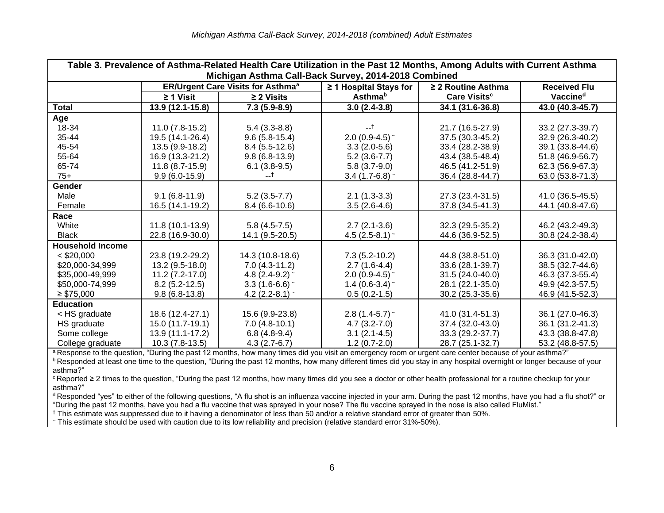| Table 3. Prevalence of Asthma-Related Health Care Utilization in the Past 12 Months, Among Adults with Current Asthma<br>Michigan Asthma Call-Back Survey, 2014-2018 Combined |                   |                                                     |                            |                          |                      |
|-------------------------------------------------------------------------------------------------------------------------------------------------------------------------------|-------------------|-----------------------------------------------------|----------------------------|--------------------------|----------------------|
|                                                                                                                                                                               |                   | <b>ER/Urgent Care Visits for Asthma<sup>a</sup></b> | ≥ 1 Hospital Stays for     | $\geq$ 2 Routine Asthma  | <b>Received Flu</b>  |
|                                                                                                                                                                               | $\geq 1$ Visit    | $\geq$ 2 Visits                                     | <b>Asthma</b> <sup>b</sup> | Care Visits <sup>c</sup> | Vaccine <sup>d</sup> |
| <b>Total</b>                                                                                                                                                                  | 13.9 (12.1-15.8)  | $7.3(5.9-8.9)$                                      | $3.0(2.4-3.8)$             | 34.1 (31.6-36.8)         | 43.0 (40.3-45.7)     |
| Age                                                                                                                                                                           |                   |                                                     |                            |                          |                      |
| 18-34                                                                                                                                                                         | $11.0(7.8-15.2)$  | $5.4(3.3-8.8)$                                      | $-1$                       | 21.7 (16.5-27.9)         | 33.2 (27.3-39.7)     |
| 35-44                                                                                                                                                                         | 19.5 (14.1-26.4)  | $9.6(5.8-15.4)$                                     | 2.0 (0.9-4.5) $\sim$       | 37.5 (30.3-45.2)         | 32.9 (26.3-40.2)     |
| 45-54                                                                                                                                                                         | 13.5 (9.9-18.2)   | $8.4(5.5-12.6)$                                     | $3.3(2.0-5.6)$             | 33.4 (28.2-38.9)         | 39.1 (33.8-44.6)     |
| 55-64                                                                                                                                                                         | 16.9 (13.3-21.2)  | $9.8(6.8-13.9)$                                     | $5.2(3.6-7.7)$             | 43.4 (38.5-48.4)         | 51.8 (46.9-56.7)     |
| 65-74                                                                                                                                                                         | $11.8(8.7-15.9)$  | $6.1(3.8-9.5)$                                      | $5.8(3.7-9.0)$             | 46.5 (41.2-51.9)         | 62.3 (56.9-67.3)     |
| $75+$                                                                                                                                                                         | $9.9(6.0-15.9)$   | --†                                                 | $3.4(1.7-6.8)$ ~           | 36.4 (28.8-44.7)         | 63.0 (53.8-71.3)     |
| Gender                                                                                                                                                                        |                   |                                                     |                            |                          |                      |
| Male                                                                                                                                                                          | $9.1(6.8-11.9)$   | $5.2(3.5-7.7)$                                      | $2.1(1.3-3.3)$             | 27.3 (23.4-31.5)         | 41.0 (36.5-45.5)     |
| Female                                                                                                                                                                        | 16.5 (14.1-19.2)  | $8.4(6.6-10.6)$                                     | $3.5(2.6-4.6)$             | 37.8 (34.5-41.3)         | 44.1 (40.8-47.6)     |
| Race                                                                                                                                                                          |                   |                                                     |                            |                          |                      |
| White                                                                                                                                                                         | $11.8(10.1-13.9)$ | $5.8(4.5-7.5)$                                      | $2.7(2.1-3.6)$             | 32.3 (29.5-35.2)         | 46.2 (43.2-49.3)     |
| <b>Black</b>                                                                                                                                                                  | 22.8 (16.9-30.0)  | 14.1 (9.5-20.5)                                     | 4.5 (2.5-8.1) $\sim$       | 44.6 (36.9-52.5)         | 30.8 (24.2-38.4)     |
| <b>Household Income</b>                                                                                                                                                       |                   |                                                     |                            |                          |                      |
| $<$ \$20,000                                                                                                                                                                  | 23.8 (19.2-29.2)  | 14.3 (10.8-18.6)                                    | $7.3(5.2-10.2)$            | 44.8 (38.8-51.0)         | 36.3 (31.0-42.0)     |
| \$20,000-34,999                                                                                                                                                               | $13.2(9.5-18.0)$  | $7.0(4.3-11.2)$                                     | $2.7(1.6-4.4)$             | 33.6 (28.1-39.7)         | 38.5 (32.7-44.6)     |
| \$35,000-49,999                                                                                                                                                               | $11.2(7.2-17.0)$  | 4.8 $(2.4-9.2)$ ~                                   | 2.0 $(0.9-4.5)$ ~          | 31.5 (24.0-40.0)         | 46.3 (37.3-55.4)     |
| \$50,000-74,999                                                                                                                                                               | $8.2(5.2-12.5)$   | $3.3(1.6-6.6)$                                      | 1.4 (0.6-3.4) $\sim$       | 28.1 (22.1-35.0)         | 49.9 (42.3-57.5)     |
| $\geq$ \$75,000                                                                                                                                                               | $9.8(6.8-13.8)$   | 4.2 $(2.2-8.1)$ ~                                   | $0.5(0.2-1.5)$             | 30.2 (25.3-35.6)         | 46.9 (41.5-52.3)     |
| <b>Education</b>                                                                                                                                                              |                   |                                                     |                            |                          |                      |
| < HS graduate                                                                                                                                                                 | 18.6 (12.4-27.1)  | 15.6 (9.9-23.8)                                     | $2.8(1.4-5.7)$ ~           | 41.0 (31.4-51.3)         | 36.1 (27.0-46.3)     |
| HS graduate                                                                                                                                                                   | 15.0 (11.7-19.1)  | $7.0(4.8-10.1)$                                     | $4.7(3.2 - 7.0)$           | 37.4 (32.0-43.0)         | 36.1 (31.2-41.3)     |
| Some college                                                                                                                                                                  | 13.9 (11.1-17.2)  | $6.8(4.8-9.4)$                                      | $3.1(2.1-4.5)$             | 33.3 (29.2-37.7)         | 43.3 (38.8-47.8)     |
| College graduate                                                                                                                                                              | $10.3(7.8-13.5)$  | $4.3(2.7-6.7)$                                      | $1.2(0.7-2.0)$             | 28.7 (25.1-32.7)         | 53.2 (48.8-57.5)     |

<sup>a</sup> Response to the question, "During the past 12 months, how many times did you visit an emergency room or urgent care center because of your asthma?" **b** Responded at least one time to the question, "During the past 12 months, how many different times did you stay in any hospital overnight or longer because of your asthma?"

<sup>c</sup> Reported ≥ 2 times to the question, "During the past 12 months, how many times did you see a doctor or other health professional for a routine checkup for your asthma?"

<sup>d</sup> Responded "yes" to either of the following questions, "A flu shot is an influenza vaccine injected in your arm. During the past 12 months, have you had a flu shot?" or

"During the past 12 months, have you had a flu vaccine that was sprayed in your nose? The flu vaccine sprayed in the nose is also called FluMist."

† This estimate was suppressed due to it having a denominator of less than 50 and/or a relative standard error of greater than 50%.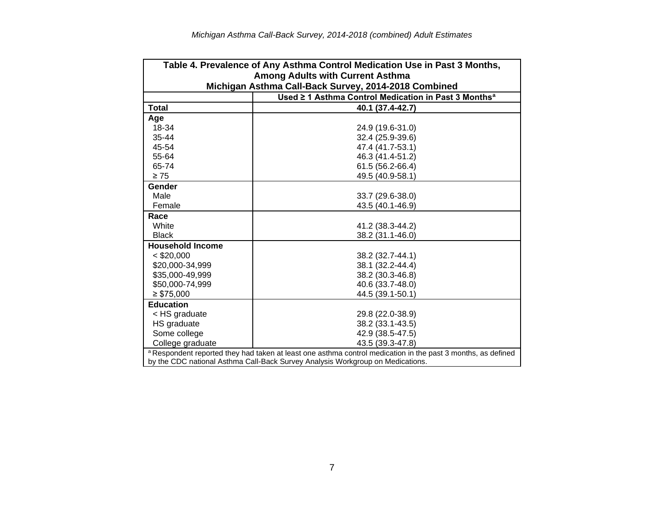| Table 4. Prevalence of Any Asthma Control Medication Use in Past 3 Months,     |                                                                                                              |  |  |  |  |
|--------------------------------------------------------------------------------|--------------------------------------------------------------------------------------------------------------|--|--|--|--|
| Among Adults with Current Asthma                                               |                                                                                                              |  |  |  |  |
|                                                                                | Michigan Asthma Call-Back Survey, 2014-2018 Combined                                                         |  |  |  |  |
|                                                                                | Used ≥ 1 Asthma Control Medication in Past 3 Months <sup>a</sup>                                             |  |  |  |  |
| <b>Total</b>                                                                   | 40.1 (37.4-42.7)                                                                                             |  |  |  |  |
| Age                                                                            |                                                                                                              |  |  |  |  |
| 18-34                                                                          | 24.9 (19.6-31.0)                                                                                             |  |  |  |  |
| 35-44                                                                          | 32.4 (25.9-39.6)                                                                                             |  |  |  |  |
| 45-54                                                                          | 47.4 (41.7-53.1)                                                                                             |  |  |  |  |
| 55-64                                                                          | 46.3 (41.4-51.2)                                                                                             |  |  |  |  |
| 65-74                                                                          | 61.5 (56.2-66.4)                                                                                             |  |  |  |  |
| $\geq 75$                                                                      | 49.5 (40.9-58.1)                                                                                             |  |  |  |  |
| Gender                                                                         |                                                                                                              |  |  |  |  |
| Male                                                                           | 33.7 (29.6-38.0)                                                                                             |  |  |  |  |
| Female                                                                         | 43.5 (40.1-46.9)                                                                                             |  |  |  |  |
| Race                                                                           |                                                                                                              |  |  |  |  |
| White                                                                          | 41.2 (38.3-44.2)                                                                                             |  |  |  |  |
| <b>Black</b>                                                                   | 38.2 (31.1-46.0)                                                                                             |  |  |  |  |
| <b>Household Income</b>                                                        |                                                                                                              |  |  |  |  |
| $<$ \$20,000                                                                   | 38.2 (32.7-44.1)                                                                                             |  |  |  |  |
| \$20,000-34,999                                                                | 38.1 (32.2-44.4)                                                                                             |  |  |  |  |
| \$35,000-49,999                                                                | 38.2 (30.3-46.8)                                                                                             |  |  |  |  |
| \$50,000-74,999                                                                | 40.6 (33.7-48.0)                                                                                             |  |  |  |  |
| $\geq$ \$75,000                                                                | 44.5 (39.1-50.1)                                                                                             |  |  |  |  |
| <b>Education</b>                                                               |                                                                                                              |  |  |  |  |
| < HS graduate                                                                  | 29.8 (22.0-38.9)                                                                                             |  |  |  |  |
| HS graduate                                                                    | 38.2 (33.1-43.5)                                                                                             |  |  |  |  |
| Some college                                                                   | 42.9 (38.5-47.5)                                                                                             |  |  |  |  |
| College graduate                                                               | 43.5 (39.3-47.8)                                                                                             |  |  |  |  |
|                                                                                | a Respondent reported they had taken at least one asthma control medication in the past 3 months, as defined |  |  |  |  |
| by the CDC national Asthma Call-Back Survey Analysis Workgroup on Medications. |                                                                                                              |  |  |  |  |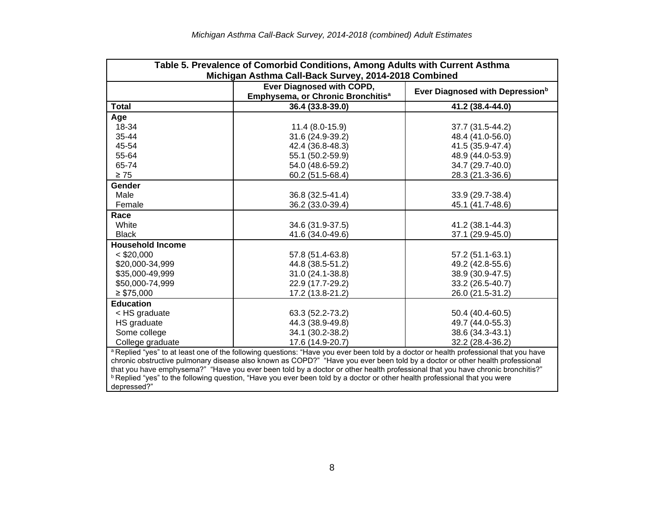| Table 5. Prevalence of Comorbid Conditions, Among Adults with Current Asthma<br>Michigan Asthma Call-Back Survey, 2014-2018 Combined                                                                                                                                                                                                                                                                                                                                                                                                                            |                                                                                                                           |                  |  |  |  |
|-----------------------------------------------------------------------------------------------------------------------------------------------------------------------------------------------------------------------------------------------------------------------------------------------------------------------------------------------------------------------------------------------------------------------------------------------------------------------------------------------------------------------------------------------------------------|---------------------------------------------------------------------------------------------------------------------------|------------------|--|--|--|
|                                                                                                                                                                                                                                                                                                                                                                                                                                                                                                                                                                 | Ever Diagnosed with COPD,<br>Ever Diagnosed with Depression <sup>b</sup><br>Emphysema, or Chronic Bronchitis <sup>a</sup> |                  |  |  |  |
| <b>Total</b>                                                                                                                                                                                                                                                                                                                                                                                                                                                                                                                                                    | 36.4 (33.8-39.0)                                                                                                          | 41.2 (38.4-44.0) |  |  |  |
| Age                                                                                                                                                                                                                                                                                                                                                                                                                                                                                                                                                             |                                                                                                                           |                  |  |  |  |
| 18-34                                                                                                                                                                                                                                                                                                                                                                                                                                                                                                                                                           | $11.4(8.0-15.9)$                                                                                                          | 37.7 (31.5-44.2) |  |  |  |
| 35-44                                                                                                                                                                                                                                                                                                                                                                                                                                                                                                                                                           | 31.6 (24.9-39.2)                                                                                                          | 48.4 (41.0-56.0) |  |  |  |
| 45-54                                                                                                                                                                                                                                                                                                                                                                                                                                                                                                                                                           | 42.4 (36.8-48.3)                                                                                                          | 41.5 (35.9-47.4) |  |  |  |
| 55-64                                                                                                                                                                                                                                                                                                                                                                                                                                                                                                                                                           | 55.1 (50.2-59.9)                                                                                                          | 48.9 (44.0-53.9) |  |  |  |
| 65-74                                                                                                                                                                                                                                                                                                                                                                                                                                                                                                                                                           | 54.0 (48.6-59.2)                                                                                                          | 34.7 (29.7-40.0) |  |  |  |
| $\geq 75$                                                                                                                                                                                                                                                                                                                                                                                                                                                                                                                                                       | 60.2 (51.5-68.4)                                                                                                          | 28.3 (21.3-36.6) |  |  |  |
| Gender                                                                                                                                                                                                                                                                                                                                                                                                                                                                                                                                                          |                                                                                                                           |                  |  |  |  |
| Male                                                                                                                                                                                                                                                                                                                                                                                                                                                                                                                                                            | 36.8 (32.5-41.4)                                                                                                          | 33.9 (29.7-38.4) |  |  |  |
| Female                                                                                                                                                                                                                                                                                                                                                                                                                                                                                                                                                          | 36.2 (33.0-39.4)                                                                                                          | 45.1 (41.7-48.6) |  |  |  |
| Race                                                                                                                                                                                                                                                                                                                                                                                                                                                                                                                                                            |                                                                                                                           |                  |  |  |  |
| White                                                                                                                                                                                                                                                                                                                                                                                                                                                                                                                                                           | 34.6 (31.9-37.5)                                                                                                          | 41.2 (38.1-44.3) |  |  |  |
| <b>Black</b>                                                                                                                                                                                                                                                                                                                                                                                                                                                                                                                                                    | 41.6 (34.0-49.6)                                                                                                          | 37.1 (29.9-45.0) |  |  |  |
| <b>Household Income</b>                                                                                                                                                                                                                                                                                                                                                                                                                                                                                                                                         |                                                                                                                           |                  |  |  |  |
| $<$ \$20,000                                                                                                                                                                                                                                                                                                                                                                                                                                                                                                                                                    | 57.8 (51.4-63.8)                                                                                                          | 57.2 (51.1-63.1) |  |  |  |
| \$20,000-34,999                                                                                                                                                                                                                                                                                                                                                                                                                                                                                                                                                 | 44.8 (38.5-51.2)                                                                                                          | 49.2 (42.8-55.6) |  |  |  |
| \$35,000-49,999                                                                                                                                                                                                                                                                                                                                                                                                                                                                                                                                                 | 31.0 (24.1-38.8)                                                                                                          | 38.9 (30.9-47.5) |  |  |  |
| \$50,000-74,999                                                                                                                                                                                                                                                                                                                                                                                                                                                                                                                                                 | 22.9 (17.7-29.2)                                                                                                          | 33.2 (26.5-40.7) |  |  |  |
| $\geq$ \$75,000                                                                                                                                                                                                                                                                                                                                                                                                                                                                                                                                                 | 17.2 (13.8-21.2)                                                                                                          | 26.0 (21.5-31.2) |  |  |  |
| <b>Education</b>                                                                                                                                                                                                                                                                                                                                                                                                                                                                                                                                                |                                                                                                                           |                  |  |  |  |
| < HS graduate                                                                                                                                                                                                                                                                                                                                                                                                                                                                                                                                                   | 63.3 (52.2-73.2)                                                                                                          | 50.4 (40.4-60.5) |  |  |  |
| HS graduate                                                                                                                                                                                                                                                                                                                                                                                                                                                                                                                                                     | 44.3 (38.9-49.8)                                                                                                          | 49.7 (44.0-55.3) |  |  |  |
| Some college                                                                                                                                                                                                                                                                                                                                                                                                                                                                                                                                                    | 34.1 (30.2-38.2)                                                                                                          | 38.6 (34.3-43.1) |  |  |  |
| College graduate                                                                                                                                                                                                                                                                                                                                                                                                                                                                                                                                                | 17.6 (14.9-20.7)                                                                                                          | 32.2 (28.4-36.2) |  |  |  |
| a Replied "yes" to at least one of the following questions: "Have you ever been told by a doctor or health professional that you have<br>chronic obstructive pulmonary disease also known as COPD?" "Have you ever been told by a doctor or other health professional<br>that you have emphysema?" "Have you ever been told by a doctor or other health professional that you have chronic bronchitis?"<br><sup>b</sup> Replied "yes" to the following question, "Have you ever been told by a doctor or other health professional that you were<br>depressed?" |                                                                                                                           |                  |  |  |  |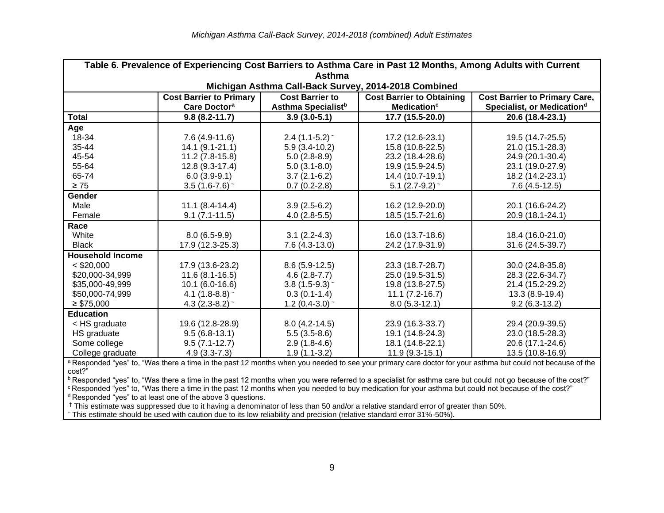|                         | Table 6. Prevalence of Experiencing Cost Barriers to Asthma Care in Past 12 Months, Among Adults with Current |                                                          |                                                                    |                                                                                |  |  |
|-------------------------|---------------------------------------------------------------------------------------------------------------|----------------------------------------------------------|--------------------------------------------------------------------|--------------------------------------------------------------------------------|--|--|
|                         | Asthma                                                                                                        |                                                          |                                                                    |                                                                                |  |  |
|                         |                                                                                                               |                                                          | Michigan Asthma Call-Back Survey, 2014-2018 Combined               |                                                                                |  |  |
|                         | <b>Cost Barrier to Primary</b><br>Care Doctor <sup>a</sup>                                                    | <b>Cost Barrier to</b><br>Asthma Specialist <sup>b</sup> | <b>Cost Barrier to Obtaining</b><br><b>Medication</b> <sup>c</sup> | <b>Cost Barrier to Primary Care,</b><br>Specialist, or Medication <sup>d</sup> |  |  |
| <b>Total</b>            | $9.8(8.2 - 11.7)$                                                                                             | $3.9(3.0-5.1)$                                           | 17.7 (15.5-20.0)                                                   | 20.6 (18.4-23.1)                                                               |  |  |
| Age                     |                                                                                                               |                                                          |                                                                    |                                                                                |  |  |
| 18-34                   | $7.6(4.9-11.6)$                                                                                               | $2.4$ (1.1-5.2) ~                                        | 17.2 (12.6-23.1)                                                   | 19.5 (14.7-25.5)                                                               |  |  |
| 35-44                   | $14.1 (9.1 - 21.1)$                                                                                           | $5.9(3.4-10.2)$                                          | 15.8 (10.8-22.5)                                                   | 21.0 (15.1-28.3)                                                               |  |  |
| 45-54                   | $11.2(7.8-15.8)$                                                                                              | $5.0(2.8-8.9)$                                           | 23.2 (18.4-28.6)                                                   | 24.9 (20.1-30.4)                                                               |  |  |
| 55-64                   | 12.8 (9.3-17.4)                                                                                               | $5.0(3.1-8.0)$                                           | 19.9 (15.9-24.5)                                                   | 23.1 (19.0-27.9)                                                               |  |  |
| 65-74                   | $6.0(3.9-9.1)$                                                                                                | $3.7(2.1-6.2)$                                           | 14.4 (10.7-19.1)                                                   | 18.2 (14.2-23.1)                                                               |  |  |
| $\geq 75$               | 3.5 $(1.6 - 7.6)$ ~                                                                                           | $0.7(0.2-2.8)$                                           | 5.1 $(2.7-9.2)$ ~                                                  | $7.6(4.5-12.5)$                                                                |  |  |
| Gender                  |                                                                                                               |                                                          |                                                                    |                                                                                |  |  |
| Male                    | $11.1 (8.4 - 14.4)$                                                                                           | $3.9(2.5-6.2)$                                           | 16.2 (12.9-20.0)                                                   | 20.1 (16.6-24.2)                                                               |  |  |
| Female                  | $9.1(7.1 - 11.5)$                                                                                             | $4.0(2.8-5.5)$                                           | 18.5 (15.7-21.6)                                                   | 20.9 (18.1-24.1)                                                               |  |  |
| Race                    |                                                                                                               |                                                          |                                                                    |                                                                                |  |  |
| White                   | $8.0(6.5-9.9)$                                                                                                | $3.1(2.2-4.3)$                                           | 16.0 (13.7-18.6)                                                   | 18.4 (16.0-21.0)                                                               |  |  |
| <b>Black</b>            | 17.9 (12.3-25.3)                                                                                              | $7.6(4.3-13.0)$                                          | 24.2 (17.9-31.9)                                                   | 31.6 (24.5-39.7)                                                               |  |  |
| <b>Household Income</b> |                                                                                                               |                                                          |                                                                    |                                                                                |  |  |
| $<$ \$20,000            | 17.9 (13.6-23.2)                                                                                              | $8.6(5.9-12.5)$                                          | 23.3 (18.7-28.7)                                                   | 30.0 (24.8-35.8)                                                               |  |  |
| \$20,000-34,999         | $11.6(8.1 - 16.5)$                                                                                            | $4.6(2.8-7.7)$                                           | 25.0 (19.5-31.5)                                                   | 28.3 (22.6-34.7)                                                               |  |  |
| \$35,000-49,999         | $10.1 (6.0 - 16.6)$                                                                                           | $3.8(1.5-9.3)$                                           | 19.8 (13.8-27.5)                                                   | 21.4 (15.2-29.2)                                                               |  |  |
| \$50,000-74,999         | 4.1 $(1.8-8.8)$ ~                                                                                             | $0.3(0.1-1.4)$                                           | $11.1 (7.2 - 16.7)$                                                | 13.3 (8.9-19.4)                                                                |  |  |
| $\geq$ \$75,000         | 4.3 $(2.3-8.2)$ ~                                                                                             | 1.2 $(0.4-3.0)$ ~                                        | $8.0(5.3-12.1)$                                                    | $9.2(6.3-13.2)$                                                                |  |  |
| <b>Education</b>        |                                                                                                               |                                                          |                                                                    |                                                                                |  |  |
| < HS graduate           | 19.6 (12.8-28.9)                                                                                              | $8.0(4.2 - 14.5)$                                        | 23.9 (16.3-33.7)                                                   | 29.4 (20.9-39.5)                                                               |  |  |
| HS graduate             | $9.5(6.8-13.1)$                                                                                               | $5.5(3.5-8.6)$                                           | 19.1 (14.8-24.3)                                                   | 23.0 (18.5-28.3)                                                               |  |  |
| Some college            | $9.5(7.1-12.7)$                                                                                               | $2.9(1.8-4.6)$                                           | 18.1 (14.8-22.1)                                                   | 20.6 (17.1-24.6)                                                               |  |  |
| College graduate        | $4.9(3.3-7.3)$                                                                                                | $1.9(1.1-3.2)$                                           | $11.9(9.3-15.1)$                                                   | 13.5 (10.8-16.9)                                                               |  |  |

a Responded "yes" to, "Was there a time in the past 12 months when you needed to see your primary care doctor for your asthma but could not because of the cost?"

b Responded "yes" to, "Was there a time in the past 12 months when you were referred to a specialist for asthma care but could not go because of the cost?" <sup>c</sup> Responded "yes" to, "Was there a time in the past 12 months when you needed to buy medication for your asthma but could not because of the cost?"  $d$  Responded "yes" to at least one of the above 3 questions.

† This estimate was suppressed due to it having a denominator of less than 50 and/or a relative standard error of greater than 50%.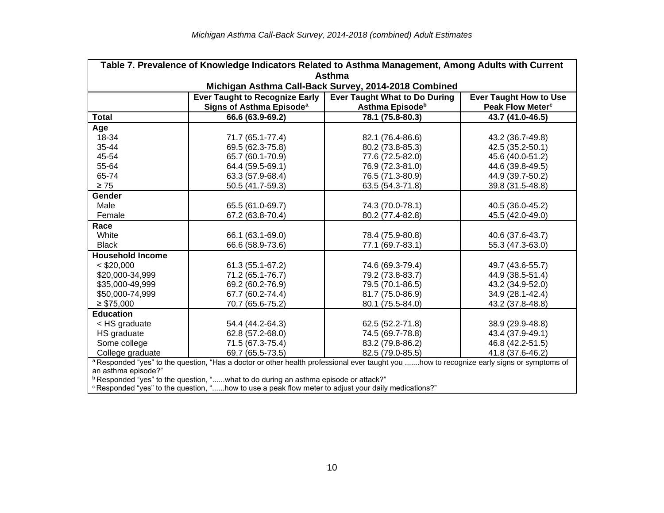| Table 7. Prevalence of Knowledge Indicators Related to Asthma Management, Among Adults with Current            |                                                                                                                                           |                                                      |                               |  |  |
|----------------------------------------------------------------------------------------------------------------|-------------------------------------------------------------------------------------------------------------------------------------------|------------------------------------------------------|-------------------------------|--|--|
|                                                                                                                |                                                                                                                                           | <b>Asthma</b>                                        |                               |  |  |
|                                                                                                                |                                                                                                                                           | Michigan Asthma Call-Back Survey, 2014-2018 Combined |                               |  |  |
|                                                                                                                | <b>Ever Taught to Recognize Early</b>                                                                                                     | Ever Taught What to Do During                        | <b>Ever Taught How to Use</b> |  |  |
|                                                                                                                | Signs of Asthma Episode <sup>a</sup>                                                                                                      | Asthma Episode <sup>b</sup>                          | Peak Flow Meter <sup>c</sup>  |  |  |
| <b>Total</b>                                                                                                   | 66.6 (63.9-69.2)                                                                                                                          | 78.1 (75.8-80.3)                                     | 43.7 (41.0-46.5)              |  |  |
| Age                                                                                                            |                                                                                                                                           |                                                      |                               |  |  |
| 18-34                                                                                                          | 71.7 (65.1-77.4)                                                                                                                          | 82.1 (76.4-86.6)                                     | 43.2 (36.7-49.8)              |  |  |
| 35-44                                                                                                          | 69.5 (62.3-75.8)                                                                                                                          | 80.2 (73.8-85.3)                                     | 42.5 (35.2-50.1)              |  |  |
| 45-54                                                                                                          | 65.7 (60.1-70.9)                                                                                                                          | 77.6 (72.5-82.0)                                     | 45.6 (40.0-51.2)              |  |  |
| 55-64                                                                                                          | 64.4 (59.5-69.1)                                                                                                                          | 76.9 (72.3-81.0)                                     | 44.6 (39.8-49.5)              |  |  |
| 65-74                                                                                                          | 63.3 (57.9-68.4)                                                                                                                          | 76.5 (71.3-80.9)                                     | 44.9 (39.7-50.2)              |  |  |
| $\geq 75$                                                                                                      | 50.5 (41.7-59.3)                                                                                                                          | 63.5 (54.3-71.8)                                     | 39.8 (31.5-48.8)              |  |  |
| <b>Gender</b>                                                                                                  |                                                                                                                                           |                                                      |                               |  |  |
| Male                                                                                                           | 65.5 (61.0-69.7)                                                                                                                          | 74.3 (70.0-78.1)                                     | 40.5 (36.0-45.2)              |  |  |
| Female                                                                                                         | 67.2 (63.8-70.4)                                                                                                                          | 80.2 (77.4-82.8)                                     | 45.5 (42.0-49.0)              |  |  |
| Race                                                                                                           |                                                                                                                                           |                                                      |                               |  |  |
| White                                                                                                          | 66.1 (63.1-69.0)                                                                                                                          | 78.4 (75.9-80.8)                                     | 40.6 (37.6-43.7)              |  |  |
| <b>Black</b>                                                                                                   | 66.6 (58.9-73.6)                                                                                                                          | 77.1 (69.7-83.1)                                     | 55.3 (47.3-63.0)              |  |  |
| <b>Household Income</b>                                                                                        |                                                                                                                                           |                                                      |                               |  |  |
| $<$ \$20,000                                                                                                   | 61.3 (55.1-67.2)                                                                                                                          | 74.6 (69.3-79.4)                                     | 49.7 (43.6-55.7)              |  |  |
| \$20,000-34,999                                                                                                | 71.2 (65.1-76.7)                                                                                                                          | 79.2 (73.8-83.7)                                     | 44.9 (38.5-51.4)              |  |  |
| \$35,000-49,999                                                                                                | 69.2 (60.2-76.9)                                                                                                                          | 79.5 (70.1-86.5)                                     | 43.2 (34.9-52.0)              |  |  |
| \$50,000-74,999                                                                                                | 67.7 (60.2-74.4)                                                                                                                          | 81.7 (75.0-86.9)                                     | 34.9 (28.1-42.4)              |  |  |
| $\geq$ \$75,000                                                                                                | 70.7 (65.6-75.2)                                                                                                                          | 80.1 (75.5-84.0)                                     | 43.2 (37.8-48.8)              |  |  |
| <b>Education</b>                                                                                               |                                                                                                                                           |                                                      |                               |  |  |
| < HS graduate                                                                                                  | 54.4 (44.2-64.3)                                                                                                                          | 62.5 (52.2-71.8)                                     | 38.9 (29.9-48.8)              |  |  |
| HS graduate                                                                                                    | 62.8 (57.2-68.0)                                                                                                                          | 74.5 (69.7-78.8)                                     | 43.4 (37.9-49.1)              |  |  |
| Some college                                                                                                   | 71.5 (67.3-75.4)                                                                                                                          | 83.2 (79.8-86.2)                                     | 46.8 (42.2-51.5)              |  |  |
| College graduate                                                                                               | 69.7 (65.5-73.5)                                                                                                                          | 82.5 (79.0-85.5)                                     | 41.8 (37.6-46.2)              |  |  |
|                                                                                                                | a Responded "yes" to the question, "Has a doctor or other health professional ever taught you how to recognize early signs or symptoms of |                                                      |                               |  |  |
| an asthma episode?"                                                                                            |                                                                                                                                           |                                                      |                               |  |  |
|                                                                                                                | <sup>b</sup> Responded "yes" to the question, "what to do during an asthma episode or attack?"                                            |                                                      |                               |  |  |
| <sup>c</sup> Responded "yes" to the question, "how to use a peak flow meter to adjust your daily medications?" |                                                                                                                                           |                                                      |                               |  |  |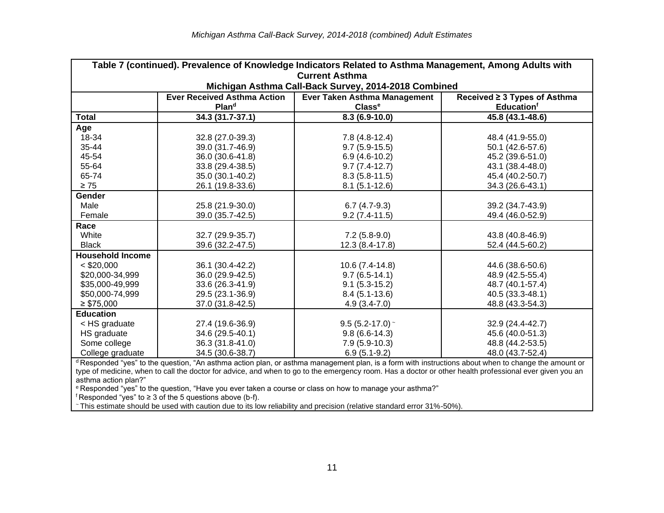| Table 7 (continued). Prevalence of Knowledge Indicators Related to Asthma Management, Among Adults with |                                                         |                                                                                                                                                                 |                                                               |  |  |  |
|---------------------------------------------------------------------------------------------------------|---------------------------------------------------------|-----------------------------------------------------------------------------------------------------------------------------------------------------------------|---------------------------------------------------------------|--|--|--|
|                                                                                                         | <b>Current Asthma</b>                                   |                                                                                                                                                                 |                                                               |  |  |  |
|                                                                                                         |                                                         | Michigan Asthma Call-Back Survey, 2014-2018 Combined                                                                                                            |                                                               |  |  |  |
|                                                                                                         | <b>Ever Received Asthma Action</b><br>Plan <sup>d</sup> | Ever Taken Asthma Management<br>Classe                                                                                                                          | Received ≥ 3 Types of Asthma<br><b>Education</b> <sup>f</sup> |  |  |  |
| <b>Total</b>                                                                                            |                                                         |                                                                                                                                                                 | 45.8 (43.1-48.6)                                              |  |  |  |
|                                                                                                         | 34.3 (31.7-37.1)                                        | $8.3(6.9-10.0)$                                                                                                                                                 |                                                               |  |  |  |
| Age                                                                                                     |                                                         |                                                                                                                                                                 |                                                               |  |  |  |
| 18-34                                                                                                   | 32.8 (27.0-39.3)                                        | $7.8(4.8-12.4)$                                                                                                                                                 | 48.4 (41.9-55.0)                                              |  |  |  |
| 35-44                                                                                                   | 39.0 (31.7-46.9)                                        | $9.7(5.9-15.5)$                                                                                                                                                 | 50.1 (42.6-57.6)                                              |  |  |  |
| 45-54                                                                                                   | 36.0 (30.6-41.8)                                        | $6.9(4.6-10.2)$                                                                                                                                                 | 45.2 (39.6-51.0)                                              |  |  |  |
| 55-64                                                                                                   | 33.8 (29.4-38.5)                                        | $9.7(7.4-12.7)$                                                                                                                                                 | 43.1 (38.4-48.0)                                              |  |  |  |
| 65-74                                                                                                   | 35.0 (30.1-40.2)                                        | $8.3(5.8-11.5)$                                                                                                                                                 | 45.4 (40.2-50.7)                                              |  |  |  |
| $\geq 75$                                                                                               | 26.1 (19.8-33.6)                                        | $8.1(5.1-12.6)$                                                                                                                                                 | 34.3 (26.6-43.1)                                              |  |  |  |
| Gender                                                                                                  |                                                         |                                                                                                                                                                 |                                                               |  |  |  |
| Male                                                                                                    | 25.8 (21.9-30.0)                                        | $6.7(4.7-9.3)$                                                                                                                                                  | 39.2 (34.7-43.9)                                              |  |  |  |
| Female                                                                                                  | 39.0 (35.7-42.5)                                        | $9.2(7.4-11.5)$                                                                                                                                                 | 49.4 (46.0-52.9)                                              |  |  |  |
| Race                                                                                                    |                                                         |                                                                                                                                                                 |                                                               |  |  |  |
| White                                                                                                   | 32.7 (29.9-35.7)                                        | $7.2(5.8-9.0)$                                                                                                                                                  | 43.8 (40.8-46.9)                                              |  |  |  |
| <b>Black</b>                                                                                            | 39.6 (32.2-47.5)                                        | 12.3 (8.4-17.8)                                                                                                                                                 | 52.4 (44.5-60.2)                                              |  |  |  |
| <b>Household Income</b>                                                                                 |                                                         |                                                                                                                                                                 |                                                               |  |  |  |
| $<$ \$20,000                                                                                            | 36.1 (30.4-42.2)                                        | 10.6 (7.4-14.8)                                                                                                                                                 | 44.6 (38.6-50.6)                                              |  |  |  |
| \$20,000-34,999                                                                                         | 36.0 (29.9-42.5)                                        | $9.7(6.5-14.1)$                                                                                                                                                 | 48.9 (42.5-55.4)                                              |  |  |  |
| \$35,000-49,999                                                                                         | 33.6 (26.3-41.9)                                        | $9.1(5.3-15.2)$                                                                                                                                                 | 48.7 (40.1-57.4)                                              |  |  |  |
| \$50,000-74,999                                                                                         | 29.5 (23.1-36.9)                                        | $8.4(5.1-13.6)$                                                                                                                                                 | 40.5 (33.3-48.1)                                              |  |  |  |
| $\geq$ \$75,000                                                                                         | 37.0 (31.8-42.5)                                        | $4.9(3.4-7.0)$                                                                                                                                                  | 48.8 (43.3-54.3)                                              |  |  |  |
| <b>Education</b>                                                                                        |                                                         |                                                                                                                                                                 |                                                               |  |  |  |
|                                                                                                         |                                                         |                                                                                                                                                                 |                                                               |  |  |  |
| < HS graduate                                                                                           | 27.4 (19.6-36.9)                                        | $9.5(5.2-17.0)$ ~                                                                                                                                               | 32.9 (24.4-42.7)                                              |  |  |  |
| HS graduate                                                                                             | 34.6 (29.5-40.1)                                        | $9.8(6.6-14.3)$                                                                                                                                                 | 45.6 (40.0-51.3)                                              |  |  |  |
| Some college                                                                                            | 36.3 (31.8-41.0)                                        | $7.9(5.9-10.3)$                                                                                                                                                 | 48.8 (44.2-53.5)                                              |  |  |  |
| College graduate                                                                                        | 34.5 (30.6-38.7)                                        | $6.9(5.1-9.2)$                                                                                                                                                  | 48.0 (43.7-52.4)                                              |  |  |  |
|                                                                                                         |                                                         | <sup>d</sup> Responded "yes" to the question, "An asthma action plan, or asthma management plan, is a form with instructions about when to change the amount or |                                                               |  |  |  |
|                                                                                                         |                                                         | type of medicine, when to call the doctor for advice, and when to go to the emergency room. Has a doctor or other health professional ever given you an         |                                                               |  |  |  |
| asthma action plan?"                                                                                    |                                                         |                                                                                                                                                                 |                                                               |  |  |  |
|                                                                                                         |                                                         | <sup>e</sup> Responded "yes" to the question, "Have you ever taken a course or class on how to manage your asthma?"                                             |                                                               |  |  |  |
| f Responded "yes" to $\geq$ 3 of the 5 questions above (b-f).                                           |                                                         |                                                                                                                                                                 |                                                               |  |  |  |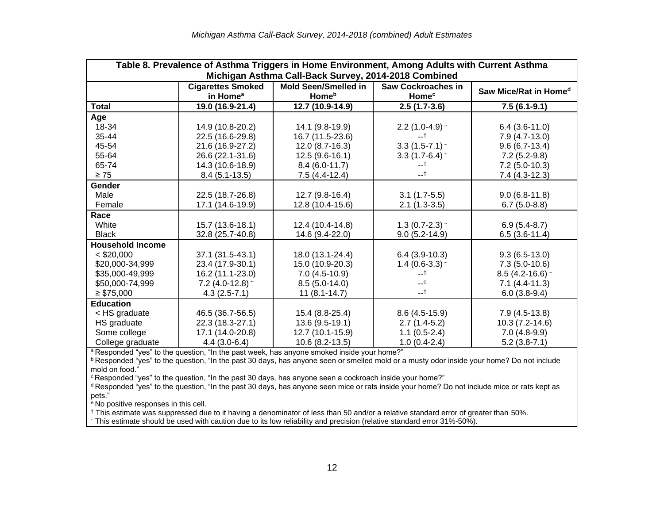| Table 8. Prevalence of Asthma Triggers in Home Environment, Among Adults with Current Asthma<br>Michigan Asthma Call-Back Survey, 2014-2018 Combined |                                                  |                                                         |                                                |                                   |  |
|------------------------------------------------------------------------------------------------------------------------------------------------------|--------------------------------------------------|---------------------------------------------------------|------------------------------------------------|-----------------------------------|--|
|                                                                                                                                                      | <b>Cigarettes Smoked</b><br>in Home <sup>a</sup> | <b>Mold Seen/Smelled in</b><br><b>Home</b> <sup>b</sup> | <b>Saw Cockroaches in</b><br>Home <sup>c</sup> | Saw Mice/Rat in Home <sup>d</sup> |  |
| <b>Total</b>                                                                                                                                         | 19.0 (16.9-21.4)                                 | 12.7 (10.9-14.9)                                        | $2.5(1.7-3.6)$                                 | $7.5(6.1-9.1)$                    |  |
| Age                                                                                                                                                  |                                                  |                                                         |                                                |                                   |  |
| 18-34                                                                                                                                                | 14.9 (10.8-20.2)                                 | 14.1 (9.8-19.9)                                         | 2.2 $(1.0-4.9)$ ~                              | $6.4(3.6-11.0)$                   |  |
| 35-44                                                                                                                                                | 22.5 (16.6-29.8)                                 | 16.7 (11.5-23.6)                                        | $-1$                                           | $7.9(4.7-13.0)$                   |  |
| 45-54                                                                                                                                                | 21.6 (16.9-27.2)                                 | $12.0(8.7-16.3)$                                        | $3.3(1.5-7.1)$                                 | $9.6(6.7-13.4)$                   |  |
| 55-64                                                                                                                                                | 26.6 (22.1-31.6)                                 | $12.5(9.6-16.1)$                                        | $3.3(1.7-6.4)$ ~                               | $7.2(5.2-9.8)$                    |  |
| 65-74                                                                                                                                                | 14.3 (10.6-18.9)                                 | $8.4(6.0-11.7)$                                         | --†                                            | $7.2(5.0-10.3)$                   |  |
| $\geq 75$                                                                                                                                            | $8.4(5.1-13.5)$                                  | $7.5(4.4-12.4)$                                         | $-1$                                           | $7.4(4.3-12.3)$                   |  |
| Gender                                                                                                                                               |                                                  |                                                         |                                                |                                   |  |
| Male                                                                                                                                                 | 22.5 (18.7-26.8)                                 | 12.7 (9.8-16.4)                                         | $3.1(1.7-5.5)$                                 | $9.0(6.8-11.8)$                   |  |
| Female                                                                                                                                               | 17.1 (14.6-19.9)                                 | 12.8 (10.4-15.6)                                        | $2.1(1.3-3.5)$                                 | $6.7(5.0-8.8)$                    |  |
| Race                                                                                                                                                 |                                                  |                                                         |                                                |                                   |  |
| White                                                                                                                                                | 15.7 (13.6-18.1)                                 | 12.4 (10.4-14.8)                                        | 1.3 (0.7-2.3) $\sim$                           | $6.9(5.4-8.7)$                    |  |
| <b>Black</b>                                                                                                                                         | 32.8 (25.7-40.8)                                 | 14.6 (9.4-22.0)                                         | $9.0(5.2-14.9)$                                | $6.5(3.6-11.4)$                   |  |
| <b>Household Income</b>                                                                                                                              |                                                  |                                                         |                                                |                                   |  |
| $<$ \$20,000                                                                                                                                         | 37.1 (31.5-43.1)                                 | 18.0 (13.1-24.4)                                        | $6.4(3.9-10.3)$                                | $9.3(6.5-13.0)$                   |  |
| \$20,000-34,999                                                                                                                                      | 23.4 (17.9-30.1)                                 | 15.0 (10.9-20.3)                                        | 1.4 $(0.6-3.3)$ ~                              | $7.3(5.0-10.6)$                   |  |
| \$35,000-49,999                                                                                                                                      | 16.2 (11.1-23.0)                                 | $7.0(4.5-10.9)$                                         | --†                                            | $8.5(4.2 - 16.6)$                 |  |
| \$50,000-74,999                                                                                                                                      | 7.2 $(4.0-12.8)$ ~                               | $8.5(5.0-14.0)$                                         | --e                                            | $7.1(4.4-11.3)$                   |  |
| $\geq$ \$75,000                                                                                                                                      | $4.3(2.5-7.1)$                                   | $11(8.1 - 14.7)$                                        | $-1$                                           | $6.0(3.8-9.4)$                    |  |
| <b>Education</b>                                                                                                                                     |                                                  |                                                         |                                                |                                   |  |
| < HS graduate                                                                                                                                        | 46.5 (36.7-56.5)                                 | 15.4 (8.8-25.4)                                         | $8.6(4.5-15.9)$                                | $7.9(4.5-13.8)$                   |  |
| HS graduate                                                                                                                                          | 22.3 (18.3-27.1)                                 | 13.6 (9.5-19.1)                                         | $2.7(1.4-5.2)$                                 | 10.3 (7.2-14.6)                   |  |
| Some college                                                                                                                                         | 17.1 (14.0-20.8)                                 | 12.7 (10.1-15.9)                                        | $1.1(0.5-2.4)$                                 | $7.0(4.8-9.9)$                    |  |
| College graduate                                                                                                                                     | $4.4(3.0-6.4)$                                   | $10.6(8.2-13.5)$                                        | $1.0(0.4-2.4)$                                 | $5.2(3.8-7.1)$                    |  |

<sup>a</sup> Responded "yes" to the question, "In the past week, has anyone smoked inside your home?"

**b Responded "yes" to the question, "In the past 30 days, has anyone seen or smelled mold or a musty odor inside your home? Do not include** mold on food."

<sup>c</sup> Responded "yes" to the question, "In the past 30 days, has anyone seen a cockroach inside your home?"

<sup>d</sup> Responded "yes" to the question, "In the past 30 days, has anyone seen mice or rats inside your home? Do not include mice or rats kept as pets."

<sup>e</sup> No positive responses in this cell.

† This estimate was suppressed due to it having a denominator of less than 50 and/or a relative standard error of greater than 50%.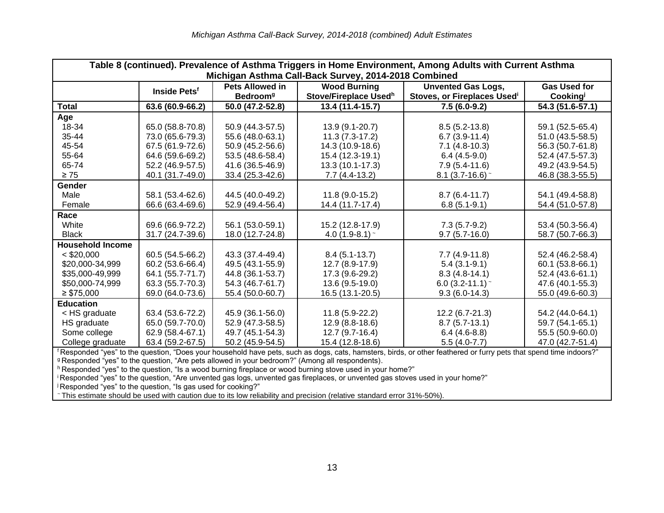| Table 8 (continued). Prevalence of Asthma Triggers in Home Environment, Among Adults with Current Asthma<br>Michigan Asthma Call-Back Survey, 2014-2018 Combined |                          |                                                       |                                              |                                                          |                                |
|------------------------------------------------------------------------------------------------------------------------------------------------------------------|--------------------------|-------------------------------------------------------|----------------------------------------------|----------------------------------------------------------|--------------------------------|
|                                                                                                                                                                  | Inside Pets <sup>f</sup> | <b>Pets Allowed in</b><br><b>Bedroom</b> <sup>g</sup> | <b>Wood Burning</b><br>Stove/Fireplace Usedh | <b>Unvented Gas Logs,</b><br>Stoves, or Fireplaces Usedi | <b>Gas Used for</b><br>Cooking |
| Total                                                                                                                                                            | 63.6 (60.9-66.2)         | 50.0 (47.2-52.8)                                      | 13.4 (11.4-15.7)                             | $7.5(6.0-9.2)$                                           | 54.3 (51.6-57.1)               |
| Age                                                                                                                                                              |                          |                                                       |                                              |                                                          |                                |
| 18-34                                                                                                                                                            | 65.0 (58.8-70.8)         | 50.9 (44.3-57.5)                                      | 13.9 (9.1-20.7)                              | $8.5(5.2-13.8)$                                          | 59.1 (52.5-65.4)               |
| 35-44                                                                                                                                                            | 73.0 (65.6-79.3)         | 55.6 (48.0-63.1)                                      | $11.3(7.3-17.2)$                             | $6.7(3.9-11.4)$                                          | 51.0 (43.5-58.5)               |
| 45-54                                                                                                                                                            | 67.5 (61.9-72.6)         | 50.9 (45.2-56.6)                                      | 14.3 (10.9-18.6)                             | $7.1(4.8-10.3)$                                          | 56.3 (50.7-61.8)               |
| 55-64                                                                                                                                                            | 64.6 (59.6-69.2)         | 53.5 (48.6-58.4)                                      | 15.4 (12.3-19.1)                             | $6.4(4.5-9.0)$                                           | 52.4 (47.5-57.3)               |
| 65-74                                                                                                                                                            | 52.2 (46.9-57.5)         | 41.6 (36.5-46.9)                                      | 13.3 (10.1-17.3)                             | $7.9(5.4-11.6)$                                          | 49.2 (43.9-54.5)               |
| $\geq 75$                                                                                                                                                        | 40.1 (31.7-49.0)         | 33.4 (25.3-42.6)                                      | $7.7(4.4-13.2)$                              | 8.1 $(3.7 - 16.6)$ ~                                     | 46.8 (38.3-55.5)               |
| <b>Gender</b>                                                                                                                                                    |                          |                                                       |                                              |                                                          |                                |
| Male                                                                                                                                                             | 58.1 (53.4-62.6)         | 44.5 (40.0-49.2)                                      | 11.8 (9.0-15.2)                              | $8.7(6.4-11.7)$                                          | 54.1 (49.4-58.8)               |
| Female                                                                                                                                                           | 66.6 (63.4-69.6)         | 52.9 (49.4-56.4)                                      | 14.4 (11.7-17.4)                             | $6.8(5.1-9.1)$                                           | 54.4 (51.0-57.8)               |
| Race                                                                                                                                                             |                          |                                                       |                                              |                                                          |                                |
| White                                                                                                                                                            | 69.6 (66.9-72.2)         | 56.1 (53.0-59.1)                                      | 15.2 (12.8-17.9)                             | $7.3(5.7-9.2)$                                           | 53.4 (50.3-56.4)               |
| <b>Black</b>                                                                                                                                                     | 31.7 (24.7-39.6)         | 18.0 (12.7-24.8)                                      | 4.0 $(1.9-8.1)$ ~                            | $9.7(5.7-16.0)$                                          | 58.7 (50.7-66.3)               |
| <b>Household Income</b>                                                                                                                                          |                          |                                                       |                                              |                                                          |                                |
| $<$ \$20,000                                                                                                                                                     | 60.5 (54.5-66.2)         | 43.3 (37.4-49.4)                                      | $8.4(5.1-13.7)$                              | $7.7(4.9-11.8)$                                          | 52.4 (46.2-58.4)               |
| \$20,000-34,999                                                                                                                                                  | 60.2 (53.6-66.4)         | 49.5 (43.1-55.9)                                      | 12.7 (8.9-17.9)                              | $5.4(3.1-9.1)$                                           | 60.1 (53.8-66.1)               |
| \$35,000-49,999                                                                                                                                                  | 64.1 (55.7-71.7)         | 44.8 (36.1-53.7)                                      | 17.3 (9.6-29.2)                              | $8.3(4.8-14.1)$                                          | 52.4 (43.6-61.1)               |
| \$50,000-74,999                                                                                                                                                  | 63.3 (55.7-70.3)         | 54.3 (46.7-61.7)                                      | 13.6 (9.5-19.0)                              | 6.0 $(3.2 - 11.1)$ ~                                     | 47.6 (40.1-55.3)               |
| $\geq$ \$75,000                                                                                                                                                  | 69.0 (64.0-73.6)         | 55.4 (50.0-60.7)                                      | 16.5 (13.1-20.5)                             | $9.3(6.0-14.3)$                                          | 55.0 (49.6-60.3)               |
| <b>Education</b>                                                                                                                                                 |                          |                                                       |                                              |                                                          |                                |
| < HS graduate                                                                                                                                                    | 63.4 (53.6-72.2)         | 45.9 (36.1-56.0)                                      | $11.8(5.9-22.2)$                             | $12.2(6.7-21.3)$                                         | 54.2 (44.0-64.1)               |
| HS graduate                                                                                                                                                      | 65.0 (59.7-70.0)         | 52.9 (47.3-58.5)                                      | 12.9 (8.8-18.6)                              | $8.7(5.7-13.1)$                                          | 59.7 (54.1-65.1)               |
| Some college                                                                                                                                                     | 62.9 (58.4-67.1)         | 49.7 (45.1-54.3)                                      | 12.7 (9.7-16.4)                              | $6.4(4.6-8.8)$                                           | 55.5 (50.9-60.0)               |
| College graduate                                                                                                                                                 | 63.4 (59.2-67.5)         | 50.2 (45.9-54.5)                                      | 15.4 (12.8-18.6)                             | $5.5(4.0-7.7)$                                           | 47.0 (42.7-51.4)               |

<sup>f</sup> Responded "yes" to the question, "Does your household have pets, such as dogs, cats, hamsters, birds, or other feathered or furry pets that spend time indoors?" <sup>g</sup> Responded "yes" to the question, "Are pets allowed in your bedroom?" (Among all respondents).

<sup>h</sup> Responded "yes" to the question, "Is a wood burning fireplace or wood burning stove used in your home?"

<sup>i</sup> Responded "yes" to the question, "Are unvented gas logs, unvented gas fireplaces, or unvented gas stoves used in your home?"

 $\overline{g}$  Responded "yes" to the question, "Is gas used for cooking?"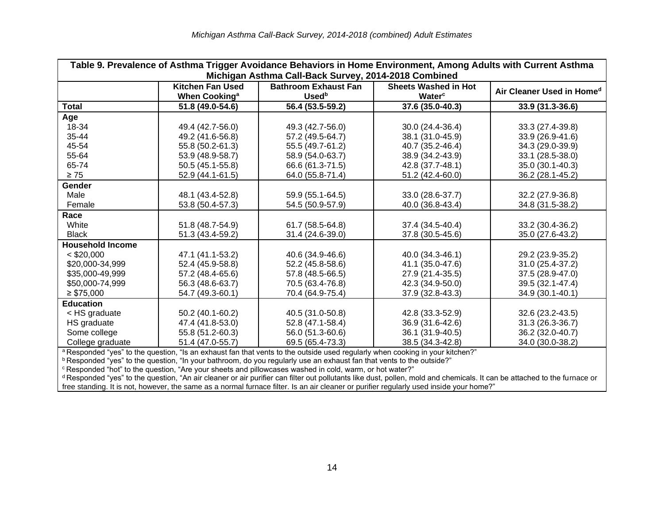| Table 9. Prevalence of Asthma Trigger Avoidance Behaviors in Home Environment, Among Adults with Current Asthma<br>Michigan Asthma Call-Back Survey, 2014-2018 Combined |                                                      |                                                                                                                               |                                       |                                       |  |
|-------------------------------------------------------------------------------------------------------------------------------------------------------------------------|------------------------------------------------------|-------------------------------------------------------------------------------------------------------------------------------|---------------------------------------|---------------------------------------|--|
|                                                                                                                                                                         | <b>Kitchen Fan Used</b><br>When Cooking <sup>a</sup> | <b>Bathroom Exhaust Fan</b><br><b>Used</b> b                                                                                  | <b>Sheets Washed in Hot</b><br>Waterc | Air Cleaner Used in Home <sup>d</sup> |  |
| Total                                                                                                                                                                   | 51.8 (49.0-54.6)                                     | 56.4 (53.5-59.2)                                                                                                              | 37.6 (35.0-40.3)                      | 33.9 (31.3-36.6)                      |  |
| Age                                                                                                                                                                     |                                                      |                                                                                                                               |                                       |                                       |  |
| 18-34                                                                                                                                                                   | 49.4 (42.7-56.0)                                     | 49.3 (42.7-56.0)                                                                                                              | 30.0 (24.4-36.4)                      | 33.3 (27.4-39.8)                      |  |
| 35-44                                                                                                                                                                   | 49.2 (41.6-56.8)                                     | 57.2 (49.5-64.7)                                                                                                              | 38.1 (31.0-45.9)                      | 33.9 (26.9-41.6)                      |  |
| 45-54                                                                                                                                                                   | 55.8 (50.2-61.3)                                     | 55.5 (49.7-61.2)                                                                                                              | 40.7 (35.2-46.4)                      | 34.3 (29.0-39.9)                      |  |
| 55-64                                                                                                                                                                   | 53.9 (48.9-58.7)                                     | 58.9 (54.0-63.7)                                                                                                              | 38.9 (34.2-43.9)                      | 33.1 (28.5-38.0)                      |  |
| 65-74                                                                                                                                                                   | 50.5 (45.1-55.8)                                     | 66.6 (61.3-71.5)                                                                                                              | 42.8 (37.7-48.1)                      | 35.0 (30.1-40.3)                      |  |
| $\geq 75$                                                                                                                                                               | 52.9 (44.1-61.5)                                     | 64.0 (55.8-71.4)                                                                                                              | 51.2 (42.4-60.0)                      | 36.2 (28.1-45.2)                      |  |
| <b>Gender</b>                                                                                                                                                           |                                                      |                                                                                                                               |                                       |                                       |  |
| Male                                                                                                                                                                    | 48.1 (43.4-52.8)                                     | 59.9 (55.1-64.5)                                                                                                              | 33.0 (28.6-37.7)                      | 32.2 (27.9-36.8)                      |  |
| Female                                                                                                                                                                  | 53.8 (50.4-57.3)                                     | 54.5 (50.9-57.9)                                                                                                              | 40.0 (36.8-43.4)                      | 34.8 (31.5-38.2)                      |  |
| Race                                                                                                                                                                    |                                                      |                                                                                                                               |                                       |                                       |  |
| White                                                                                                                                                                   | 51.8 (48.7-54.9)                                     | 61.7 (58.5-64.8)                                                                                                              | 37.4 (34.5-40.4)                      | 33.2 (30.4-36.2)                      |  |
| <b>Black</b>                                                                                                                                                            | 51.3 (43.4-59.2)                                     | 31.4 (24.6-39.0)                                                                                                              | 37.8 (30.5-45.6)                      | 35.0 (27.6-43.2)                      |  |
| <b>Household Income</b>                                                                                                                                                 |                                                      |                                                                                                                               |                                       |                                       |  |
| $<$ \$20,000                                                                                                                                                            | 47.1 (41.1-53.2)                                     | 40.6 (34.9-46.6)                                                                                                              | 40.0 (34.3-46.1)                      | 29.2 (23.9-35.2)                      |  |
| \$20,000-34,999                                                                                                                                                         | 52.4 (45.9-58.8)                                     | 52.2 (45.8-58.6)                                                                                                              | 41.1 (35.0-47.6)                      | 31.0 (25.4-37.2)                      |  |
| \$35,000-49,999                                                                                                                                                         | 57.2 (48.4-65.6)                                     | 57.8 (48.5-66.5)                                                                                                              | 27.9 (21.4-35.5)                      | 37.5 (28.9-47.0)                      |  |
| \$50,000-74,999                                                                                                                                                         | 56.3 (48.6-63.7)                                     | 70.5 (63.4-76.8)                                                                                                              | 42.3 (34.9-50.0)                      | 39.5 (32.1-47.4)                      |  |
| $\geq$ \$75,000                                                                                                                                                         | 54.7 (49.3-60.1)                                     | 70.4 (64.9-75.4)                                                                                                              | 37.9 (32.8-43.3)                      | 34.9 (30.1-40.1)                      |  |
| <b>Education</b>                                                                                                                                                        |                                                      |                                                                                                                               |                                       |                                       |  |
| < HS graduate                                                                                                                                                           | 50.2 (40.1-60.2)                                     | 40.5 (31.0-50.8)                                                                                                              | 42.8 (33.3-52.9)                      | 32.6 (23.2-43.5)                      |  |
| HS graduate                                                                                                                                                             | 47.4 (41.8-53.0)                                     | 52.8 (47.1-58.4)                                                                                                              | 36.9 (31.6-42.6)                      | 31.3 (26.3-36.7)                      |  |
| Some college                                                                                                                                                            | 55.8 (51.2-60.3)                                     | 56.0 (51.3-60.6)                                                                                                              | 36.1 (31.9-40.5)                      | 36.2 (32.0-40.7)                      |  |
| College graduate                                                                                                                                                        | 51.4 (47.0-55.7)                                     | 69.5 (65.4-73.3)                                                                                                              | 38.5 (34.3-42.8)                      | 34.0 (30.0-38.2)                      |  |
|                                                                                                                                                                         |                                                      | a Responded "yes" to the question, "Is an exhaust fan that vents to the outside used regularly when cooking in your kitchen?" |                                       |                                       |  |

 $^{\rm b}$  Responded "yes" to the question, "In your bathroom, do you regularly use an exhaust fan that vents to the outside?"

 $\textdegree$ Responded "hot" to the question, "Are your sheets and pillowcases washed in cold, warm, or hot water?"

<sup>d</sup> Responded "yes" to the question, "An air cleaner or air purifier can filter out pollutants like dust, pollen, mold and chemicals. It can be attached to the furnace or free standing. It is not, however, the same as a normal furnace filter. Is an air cleaner or purifier regularly used inside your home?"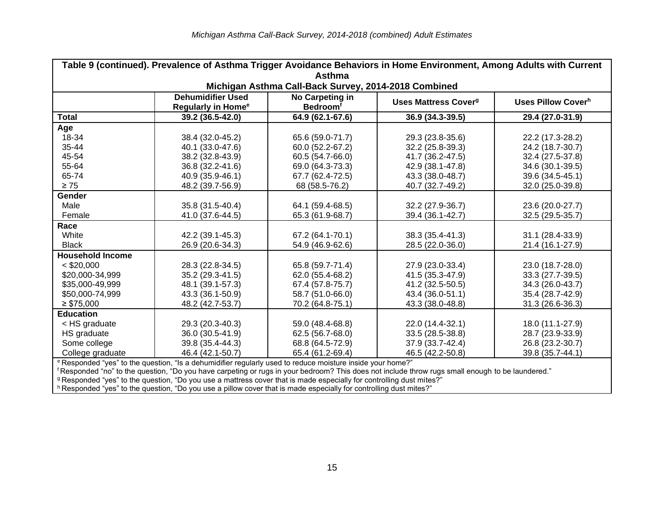| Table 9 (continued). Prevalence of Asthma Trigger Avoidance Behaviors in Home Environment, Among Adults with Current |                                                       |                                                |                                        |                                |  |  |
|----------------------------------------------------------------------------------------------------------------------|-------------------------------------------------------|------------------------------------------------|----------------------------------------|--------------------------------|--|--|
| <b>Asthma</b><br>Michigan Asthma Call-Back Survey, 2014-2018 Combined                                                |                                                       |                                                |                                        |                                |  |  |
|                                                                                                                      | <b>Dehumidifier Used</b><br><b>Regularly in Home®</b> | No Carpeting in<br><b>Bedroom</b> <sup>f</sup> | <b>Uses Mattress Cover<sup>g</sup></b> | Uses Pillow Cover <sup>h</sup> |  |  |
| Total                                                                                                                | 39.2 (36.5-42.0)                                      | 64.9 (62.1-67.6)                               | 36.9 (34.3-39.5)                       | 29.4 (27.0-31.9)               |  |  |
| Age                                                                                                                  |                                                       |                                                |                                        |                                |  |  |
| 18-34                                                                                                                | 38.4 (32.0-45.2)                                      | 65.6 (59.0-71.7)                               | 29.3 (23.8-35.6)                       | 22.2 (17.3-28.2)               |  |  |
| 35-44                                                                                                                | 40.1 (33.0-47.6)                                      | 60.0 (52.2-67.2)                               | 32.2 (25.8-39.3)                       | 24.2 (18.7-30.7)               |  |  |
| 45-54                                                                                                                | 38.2 (32.8-43.9)                                      | 60.5 (54.7-66.0)                               | 41.7 (36.2-47.5)                       | 32.4 (27.5-37.8)               |  |  |
| 55-64                                                                                                                | 36.8 (32.2-41.6)                                      | 69.0 (64.3-73.3)                               | 42.9 (38.1-47.8)                       | 34.6 (30.1-39.5)               |  |  |
| 65-74                                                                                                                | 40.9 (35.9-46.1)                                      | 67.7 (62.4-72.5)                               | 43.3 (38.0-48.7)                       | 39.6 (34.5-45.1)               |  |  |
| $\geq 75$                                                                                                            | 48.2 (39.7-56.9)                                      | 68 (58.5-76.2)                                 | 40.7 (32.7-49.2)                       | 32.0 (25.0-39.8)               |  |  |
| <b>Gender</b>                                                                                                        |                                                       |                                                |                                        |                                |  |  |
| Male                                                                                                                 | 35.8 (31.5-40.4)                                      | 64.1 (59.4-68.5)                               | 32.2 (27.9-36.7)                       | 23.6 (20.0-27.7)               |  |  |
| Female                                                                                                               | 41.0 (37.6-44.5)                                      | 65.3 (61.9-68.7)                               | 39.4 (36.1-42.7)                       | 32.5 (29.5-35.7)               |  |  |
| Race                                                                                                                 |                                                       |                                                |                                        |                                |  |  |
| White                                                                                                                | 42.2 (39.1-45.3)                                      | 67.2 (64.1-70.1)                               | 38.3 (35.4-41.3)                       | 31.1 (28.4-33.9)               |  |  |
| <b>Black</b>                                                                                                         | 26.9 (20.6-34.3)                                      | 54.9 (46.9-62.6)                               | 28.5 (22.0-36.0)                       | 21.4 (16.1-27.9)               |  |  |
| <b>Household Income</b>                                                                                              |                                                       |                                                |                                        |                                |  |  |
| $<$ \$20,000                                                                                                         | 28.3 (22.8-34.5)                                      | 65.8 (59.7-71.4)                               | 27.9 (23.0-33.4)                       | 23.0 (18.7-28.0)               |  |  |
| \$20,000-34,999                                                                                                      | 35.2 (29.3-41.5)                                      | 62.0 (55.4-68.2)                               | 41.5 (35.3-47.9)                       | 33.3 (27.7-39.5)               |  |  |
| \$35,000-49,999                                                                                                      | 48.1 (39.1-57.3)                                      | 67.4 (57.8-75.7)                               | 41.2 (32.5-50.5)                       | 34.3 (26.0-43.7)               |  |  |
| \$50,000-74,999                                                                                                      | 43.3 (36.1-50.9)                                      | 58.7 (51.0-66.0)                               | 43.4 (36.0-51.1)                       | 35.4 (28.7-42.9)               |  |  |
| $\geq$ \$75,000                                                                                                      | 48.2 (42.7-53.7)                                      | 70.2 (64.8-75.1)                               | 43.3 (38.0-48.8)                       | 31.3 (26.6-36.3)               |  |  |
| <b>Education</b>                                                                                                     |                                                       |                                                |                                        |                                |  |  |
| < HS graduate                                                                                                        | 29.3 (20.3-40.3)                                      | 59.0 (48.4-68.8)                               | 22.0 (14.4-32.1)                       | 18.0 (11.1-27.9)               |  |  |
| HS graduate                                                                                                          | 36.0 (30.5-41.9)                                      | 62.5 (56.7-68.0)                               | 33.5 (28.5-38.8)                       | 28.7 (23.9-33.9)               |  |  |
| Some college                                                                                                         | 39.8 (35.4-44.3)                                      | 68.8 (64.5-72.9)                               | 37.9 (33.7-42.4)                       | 26.8 (23.2-30.7)               |  |  |
| College graduate                                                                                                     | 46.4 (42.1-50.7)                                      | 65.4 (61.2-69.4)                               | 46.5 (42.2-50.8)                       | 39.8 (35.7-44.1)               |  |  |
| e Responded "ves" to the question "Is a debumidifier requierly used to reduce moisture inside your beme <sup>n</sup> |                                                       |                                                |                                        |                                |  |  |

<sup>e</sup> Responded "yes" to the question, "Is a dehumidifier regularly used to reduce moisture inside your home?"

<sup>f</sup> Responded "no" to the question, "Do you have carpeting or rugs in your bedroom? This does not include throw rugs small enough to be laundered."

<sup>g</sup> Responded "yes" to the question, "Do you use a mattress cover that is made especially for controlling dust mites?"

<sup>h</sup> Responded "yes" to the question, "Do you use a pillow cover that is made especially for controlling dust mites?"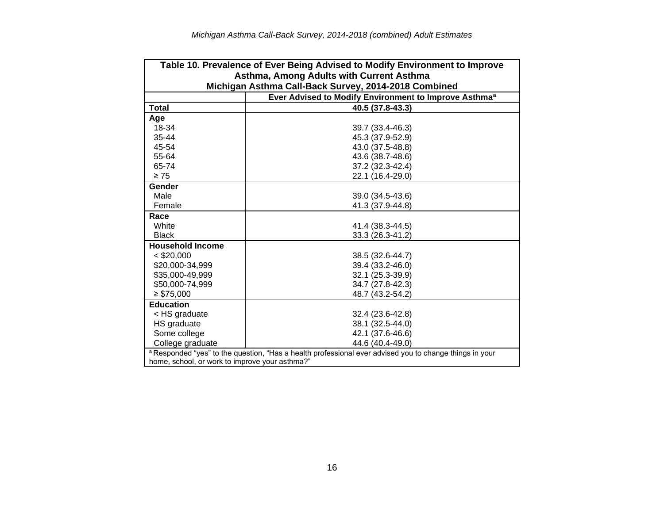| Table 10. Prevalence of Ever Being Advised to Modify Environment to Improve                             |                                                                   |  |  |  |  |
|---------------------------------------------------------------------------------------------------------|-------------------------------------------------------------------|--|--|--|--|
| Asthma, Among Adults with Current Asthma                                                                |                                                                   |  |  |  |  |
| Michigan Asthma Call-Back Survey, 2014-2018 Combined                                                    |                                                                   |  |  |  |  |
|                                                                                                         | Ever Advised to Modify Environment to Improve Asthma <sup>a</sup> |  |  |  |  |
| <b>Total</b>                                                                                            | 40.5 (37.8-43.3)                                                  |  |  |  |  |
| Age                                                                                                     |                                                                   |  |  |  |  |
| 18-34                                                                                                   | 39.7 (33.4-46.3)                                                  |  |  |  |  |
| 35-44                                                                                                   | 45.3 (37.9-52.9)                                                  |  |  |  |  |
| 45-54                                                                                                   | 43.0 (37.5-48.8)                                                  |  |  |  |  |
| 55-64                                                                                                   | 43.6 (38.7-48.6)                                                  |  |  |  |  |
| 65-74                                                                                                   | 37.2 (32.3-42.4)                                                  |  |  |  |  |
| $\geq 75$                                                                                               | 22.1 (16.4-29.0)                                                  |  |  |  |  |
| Gender                                                                                                  |                                                                   |  |  |  |  |
| Male                                                                                                    | 39.0 (34.5-43.6)                                                  |  |  |  |  |
| Female                                                                                                  | 41.3 (37.9-44.8)                                                  |  |  |  |  |
| Race                                                                                                    |                                                                   |  |  |  |  |
| White                                                                                                   | 41.4 (38.3-44.5)                                                  |  |  |  |  |
| <b>Black</b>                                                                                            | 33.3 (26.3-41.2)                                                  |  |  |  |  |
| <b>Household Income</b>                                                                                 |                                                                   |  |  |  |  |
| $<$ \$20,000                                                                                            | 38.5 (32.6-44.7)                                                  |  |  |  |  |
| \$20,000-34,999                                                                                         | 39.4 (33.2-46.0)                                                  |  |  |  |  |
| \$35,000-49,999                                                                                         | 32.1 (25.3-39.9)                                                  |  |  |  |  |
| \$50,000-74,999                                                                                         | 34.7 (27.8-42.3)                                                  |  |  |  |  |
| $\geq$ \$75,000                                                                                         | 48.7 (43.2-54.2)                                                  |  |  |  |  |
| <b>Education</b>                                                                                        |                                                                   |  |  |  |  |
| < HS graduate                                                                                           | 32.4 (23.6-42.8)                                                  |  |  |  |  |
| HS graduate                                                                                             | 38.1 (32.5-44.0)                                                  |  |  |  |  |
| Some college                                                                                            | 42.1 (37.6-46.6)                                                  |  |  |  |  |
| College graduate                                                                                        | 44.6 (40.4-49.0)                                                  |  |  |  |  |
| a Responded "yes" to the question, "Has a health professional ever advised you to change things in your |                                                                   |  |  |  |  |
| home, school, or work to improve your asthma?"                                                          |                                                                   |  |  |  |  |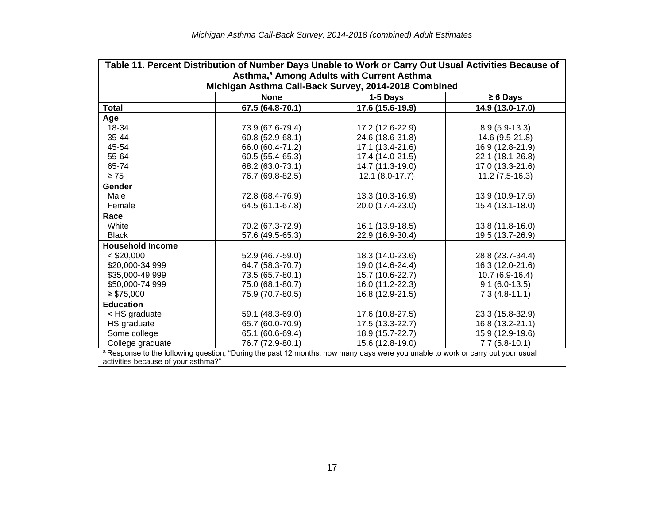| Table 11. Percent Distribution of Number Days Unable to Work or Carry Out Usual Activities Because of<br>Asthma, <sup>a</sup> Among Adults with Current Asthma |                                                                     |                  |                  |  |  |
|----------------------------------------------------------------------------------------------------------------------------------------------------------------|---------------------------------------------------------------------|------------------|------------------|--|--|
|                                                                                                                                                                | Michigan Asthma Call-Back Survey, 2014-2018 Combined<br><b>None</b> | 1-5 Days         | $\geq 6$ Days    |  |  |
| <b>Total</b>                                                                                                                                                   | 67.5 (64.8-70.1)                                                    | 17.6 (15.6-19.9) | 14.9 (13.0-17.0) |  |  |
| Age                                                                                                                                                            |                                                                     |                  |                  |  |  |
| 18-34                                                                                                                                                          | 73.9 (67.6-79.4)                                                    | 17.2 (12.6-22.9) | $8.9(5.9-13.3)$  |  |  |
| 35-44                                                                                                                                                          | 60.8 (52.9-68.1)                                                    | 24.6 (18.6-31.8) | 14.6 (9.5-21.8)  |  |  |
| 45-54                                                                                                                                                          | 66.0 (60.4-71.2)                                                    | 17.1 (13.4-21.6) | 16.9 (12.8-21.9) |  |  |
| 55-64                                                                                                                                                          | 60.5 (55.4-65.3)                                                    | 17.4 (14.0-21.5) | 22.1 (18.1-26.8) |  |  |
| 65-74                                                                                                                                                          | 68.2 (63.0-73.1)                                                    | 14.7 (11.3-19.0) | 17.0 (13.3-21.6) |  |  |
| $\geq 75$                                                                                                                                                      | 76.7 (69.8-82.5)                                                    | 12.1 (8.0-17.7)  | $11.2(7.5-16.3)$ |  |  |
| Gender                                                                                                                                                         |                                                                     |                  |                  |  |  |
| Male                                                                                                                                                           | 72.8 (68.4-76.9)                                                    | 13.3 (10.3-16.9) | 13.9 (10.9-17.5) |  |  |
| Female                                                                                                                                                         | 64.5 (61.1-67.8)                                                    | 20.0 (17.4-23.0) | 15.4 (13.1-18.0) |  |  |
| Race                                                                                                                                                           |                                                                     |                  |                  |  |  |
| White                                                                                                                                                          | 70.2 (67.3-72.9)                                                    | 16.1 (13.9-18.5) | 13.8 (11.8-16.0) |  |  |
| <b>Black</b>                                                                                                                                                   | 57.6 (49.5-65.3)                                                    | 22.9 (16.9-30.4) | 19.5 (13.7-26.9) |  |  |
| <b>Household Income</b>                                                                                                                                        |                                                                     |                  |                  |  |  |
| $<$ \$20,000                                                                                                                                                   | 52.9 (46.7-59.0)                                                    | 18.3 (14.0-23.6) | 28.8 (23.7-34.4) |  |  |
| \$20,000-34,999                                                                                                                                                | 64.7 (58.3-70.7)                                                    | 19.0 (14.6-24.4) | 16.3 (12.0-21.6) |  |  |
| \$35,000-49,999                                                                                                                                                | 73.5 (65.7-80.1)                                                    | 15.7 (10.6-22.7) | 10.7 (6.9-16.4)  |  |  |
| \$50,000-74,999                                                                                                                                                | 75.0 (68.1-80.7)                                                    | 16.0 (11.2-22.3) | $9.1(6.0-13.5)$  |  |  |
| $\geq$ \$75,000                                                                                                                                                | 75.9 (70.7-80.5)                                                    | 16.8 (12.9-21.5) | $7.3(4.8-11.1)$  |  |  |
| <b>Education</b>                                                                                                                                               |                                                                     |                  |                  |  |  |
| < HS graduate                                                                                                                                                  | 59.1 (48.3-69.0)                                                    | 17.6 (10.8-27.5) | 23.3 (15.8-32.9) |  |  |
| HS graduate                                                                                                                                                    | 65.7 (60.0-70.9)                                                    | 17.5 (13.3-22.7) | 16.8 (13.2-21.1) |  |  |
| Some college                                                                                                                                                   | 65.1 (60.6-69.4)                                                    | 18.9 (15.7-22.7) | 15.9 (12.9-19.6) |  |  |
| College graduate                                                                                                                                               | 76.7 (72.9-80.1)                                                    | 15.6 (12.8-19.0) | $7.7(5.8-10.1)$  |  |  |
| a Response to the following question, "During the past 12 months, how many days were you unable to work or carry out your usual                                |                                                                     |                  |                  |  |  |
| activities because of your asthma?"                                                                                                                            |                                                                     |                  |                  |  |  |